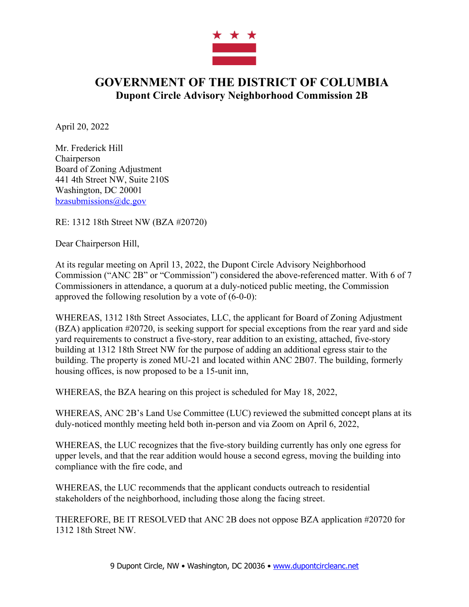

## **GOVERNMENT OF THE DISTRICT OF COLUMBIA Dupont Circle Advisory Neighborhood Commission 2B**

April 20, 2022

Mr. Frederick Hill **Chairperson** Board of Zoning Adjustment 441 4th Street NW, Suite 210S Washington, DC 20001 bzasubmissions@dc.gov

RE: 1312 18th Street NW (BZA #20720)

Dear Chairperson Hill,

At its regular meeting on April 13, 2022, the Dupont Circle Advisory Neighborhood Commission ("ANC 2B" or "Commission") considered the above-referenced matter. With 6 of 7 Commissioners in attendance, a quorum at a duly-noticed public meeting, the Commission approved the following resolution by a vote of (6-0-0):

WHEREAS, 1312 18th Street Associates, LLC, the applicant for Board of Zoning Adjustment (BZA) application #20720, is seeking support for special exceptions from the rear yard and side yard requirements to construct a five-story, rear addition to an existing, attached, five-story building at 1312 18th Street NW for the purpose of adding an additional egress stair to the building. The property is zoned MU-21 and located within ANC 2B07. The building, formerly housing offices, is now proposed to be a 15-unit inn,

WHEREAS, the BZA hearing on this project is scheduled for May 18, 2022,

WHEREAS, ANC 2B's Land Use Committee (LUC) reviewed the submitted concept plans at its duly-noticed monthly meeting held both in-person and via Zoom on April 6, 2022,

WHEREAS, the LUC recognizes that the five-story building currently has only one egress for upper levels, and that the rear addition would house a second egress, moving the building into compliance with the fire code, and

WHEREAS, the LUC recommends that the applicant conducts outreach to residential stakeholders of the neighborhood, including those along the facing street.

THEREFORE, BE IT RESOLVED that ANC 2B does not oppose BZA application #20720 for 1312 18th Street NW.